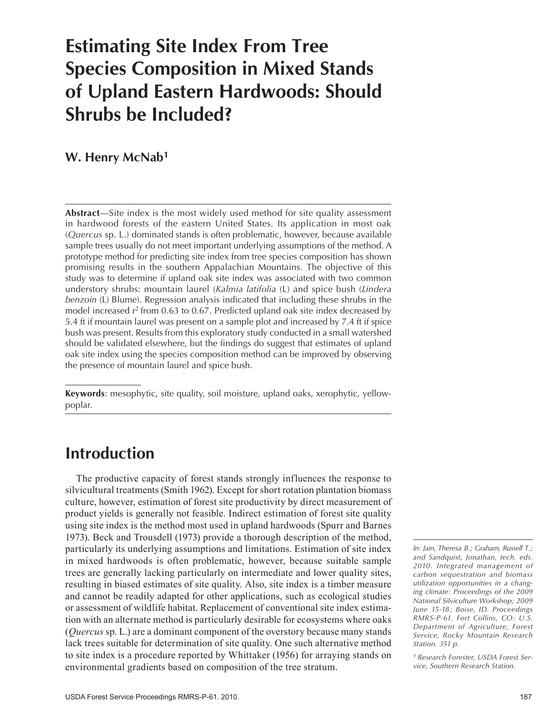# **Estimating Site Index From Tree Species Composition in Mixed Stands of Upland Eastern Hardwoods: Should Shrubs be Included?**

### **W. Henry McNab1**

**Abstract**—Site index is the most widely used method for site quality assessment in hardwood forests of the eastern United States. Its application in most oak (*Quercus* sp. L.) dominated stands is often problematic, however, because available sample trees usually do not meet important underlying assumptions of the method. A prototype method for predicting site index from tree species composition has shown promising results in the southern Appalachian Mountains. The objective of this study was to determine if upland oak site index was associated with two common understory shrubs: mountain laurel (*Kalmia latifolia* (L) and spice bush (*Lindera benzoin* (L) Blume). Regression analysis indicated that including these shrubs in the model increased  $r^2$  from 0.63 to 0.67. Predicted upland oak site index decreased by 5.4 ft if mountain laurel was present on a sample plot and increased by 7.4 ft if spice bush was present. Results from this exploratory study conducted in a small watershed should be validated elsewhere, but the findings do suggest that estimates of upland oak site index using the species composition method can be improved by observing the presence of mountain laurel and spice bush.

**Keywords**: mesophytic, site quality, soil moisture, upland oaks, xerophytic, yellowpoplar.

# **Introduction**

The productive capacity of forest stands strongly influences the response to silvicultural treatments (Smith 1962). Except for short rotation plantation biomass culture, however, estimation of forest site productivity by direct measurement of product yields is generally not feasible. Indirect estimation of forest site quality using site index is the method most used in upland hardwoods (Spurr and Barnes 1973). Beck and Trousdell (1973) provide a thorough description of the method, particularly its underlying assumptions and limitations. Estimation of site index in mixed hardwoods is often problematic, however, because suitable sample trees are generally lacking particularly on intermediate and lower quality sites, resulting in biased estimates of site quality. Also, site index is a timber measure and cannot be readily adapted for other applications, such as ecological studies or assessment of wildlife habitat. Replacement of conventional site index estimation with an alternate method is particularly desirable for ecosystems where oaks (*Quercus* sp. L.) are a dominant component of the overstory because many stands lack trees suitable for determination of site quality. One such alternative method to site index is a procedure reported by Whittaker (1956) for arraying stands on environmental gradients based on composition of the tree stratum.

*1 Research Forester, USDA Forest Service, Southern Research Station.*

*In: Jain, Theresa B.; Graham, Russell T.; and Sandquist, Jonathan, tech. eds. 2010. Integrated management of carbon sequestration and biomass utilization opportunities in a changing climate: Proceedings of the 2009 National Silviculture Workshop; 2009 June 15-18; Boise, ID. Proceedings RMRS-P-61. Fort Collins, CO: U.S. Department of Agriculture, Forest Service, Rocky Mountain Research Station. 351 p.*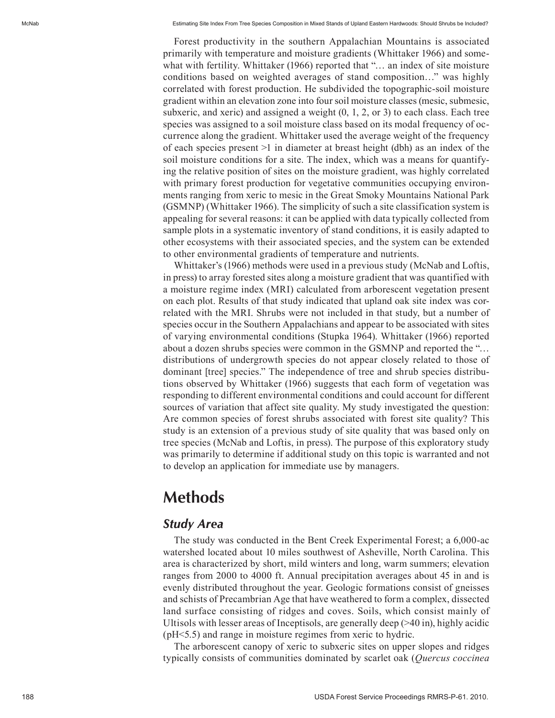Forest productivity in the southern Appalachian Mountains is associated primarily with temperature and moisture gradients (Whittaker 1966) and some what with fertility. Whittaker (1966) reported that "… an index of site moisture conditions based on weighted averages of stand composition…" was highly correlated with forest production. He subdivided the topographic-soil moisture gradient within an elevation zone into four soil moisture classes (mesic, submesic, subxeric, and xeric) and assigned a weight  $(0, 1, 2, \text{or } 3)$  to each class. Each tree species was assigned to a soil moisture class based on its modal frequency of oc currence along the gradient. Whittaker used the average weight of the frequency of each species present  $>1$  in diameter at breast height (dbh) as an index of the soil moisture conditions for a site. The index, which was a means for quantify ing the relative position of sites on the moisture gradient, was highly correlated with primary forest production for vegetative communities occupying environments ranging from xeric to mesic in the Great Smoky Mountains National Park (GSMNP) (Whittaker 1966). The simplicity of such a site classification system is appealing for several reasons: it can be applied with data typically collected from sample plots in a systematic inventory of stand conditions, it is easily adapted to other ecosystems with their associated species, and the system can be extended to other environmental gradients of temperature and nutrients.

Whittaker's (1966) methods were used in a previous study (McNab and Loftis, in press) to array forested sites along a moisture gradient that was quantified with a moisture regime index (MRI) calculated from arborescent vegetation present on each plot. Results of that study indicated that upland oak site index was cor related with the MRI. Shrubs were not included in that study, but a number of species occur in the Southern Appalachians and appear to be associated with sites of varying environmental conditions (Stupka 1964). Whittaker (1966) reported about a dozen shrubs species were common in the GSMNP and reported the "… distributions of undergrowth species do not appear closely related to those of dominant [tree] species." The independence of tree and shrub species distribu tions observed by Whittaker (1966) suggests that each form of vegetation was responding to different environmental conditions and could account for different sources of variation that affect site quality. My study investigated the question: Are common species of forest shrubs associated with forest site quality? This study is an extension of a previous study of site quality that was based only on tree species (McNab and Loftis, in press). The purpose of this exploratory study was primarily to determine if additional study on this topic is warranted and not to develop an application for immediate use by managers.

# **Methods**

#### *Study Area*

The study was conducted in the Bent Creek Experimental Forest; a 6,000-ac watershed located about 10 miles southwest of Asheville, North Carolina. This area is characterized by short, mild winters and long, warm summers; elevation ranges from 2000 to 4000 ft. Annual precipitation averages about 45 in and is evenly distributed throughout the year. Geologic formations consist of gneisses and schists of Precambrian Age that have weathered to form a complex, dissected land surface consisting of ridges and coves. Soils, which consist mainly of Ultisols with lesser areas of Inceptisols, are generally deep (>40 in), highly acidic (pH<5.5) and range in moisture regimes from xeric to hydric.

The arborescent canopy of xeric to subxeric sites on upper slopes and ridges typically consists of communities dominated by scarlet oak (*Quercus coccinea*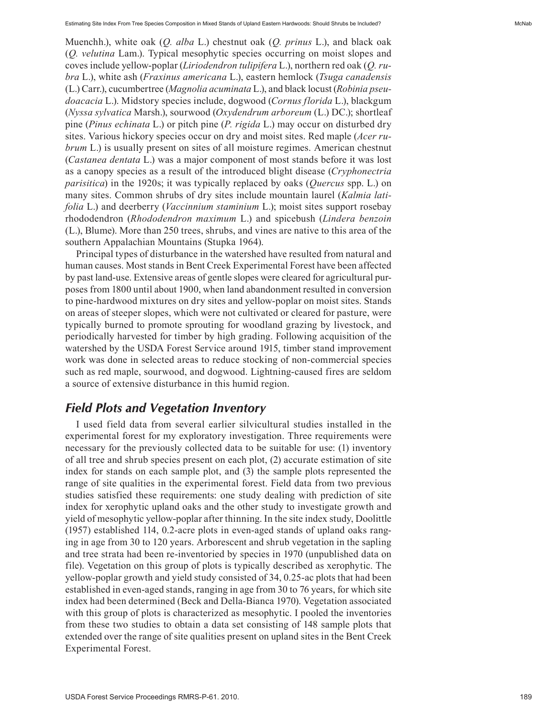Muenchh.), white oak (*Q. alba* L.) chestnut oak (*Q. prinus* L.), and black oak (*Q. velutina* Lam.). Typical mesophytic species occurring on moist slopes and coves include yellow-poplar (*Liriodendron tulipifera* L.), northern red oak (*Q. ru bra* L.), white ash (*Fraxinus americana* L.), eastern hemlock (*Tsuga canadensis* (L.) Carr.), cucumbertree (*Magnolia acuminata* L.), and black locust (*Robinia pseu doacacia* L.). Midstory species include, dogwood (*Cornus florida* L.), blackgum (*Nyssa sylvatica* Marsh.), sourwood (*Oxydendrum arboreum* (L.) DC.); shortleaf pine (*Pinus echinata* L.) or pitch pine (*P. rigida* L.) may occur on disturbed dry sites. Various hickory species occur on dry and moist sites. Red maple (*Acer ru brum* L.) is usually present on sites of all moisture regimes. American chestnut (*Castanea dentata* L.) was a major component of most stands before it was lost as a canopy species as a result of the introduced blight disease (*Cryphonectria parisitica*) in the 1920s; it was typically replaced by oaks (*Quercus* spp. L.) on many sites. Common shrubs of dry sites include mountain laurel (*Kalmia lati folia* L.) and deerberry (*Vaccinnium staminium* L.); moist sites support rosebay rhododendron (*Rhododendron maximum* L.) and spicebush (*Lindera benzoin* (L.), Blume). More than 250 trees, shrubs, and vines are native to this area of the southern Appalachian Mountains (Stupka 1964).

Principal types of disturbance in the watershed have resulted from natural and human causes. Most stands in Bent Creek Experimental Forest have been affected by past land-use. Extensive areas of gentle slopes were cleared for agricultural purposes from 1800 until about 1900, when land abandonment resulted in conversion to pine-hardwood mixtures on dry sites and yellow-poplar on moist sites. Stands on areas of steeper slopes, which were not cultivated or cleared for pasture, were typically burned to promote sprouting for woodland grazing by livestock, and periodically harvested for timber by high grading. Following acquisition of the watershed by the USDA Forest Service around 1915, timber stand improvement work was done in selected areas to reduce stocking of non-commercial species such as red maple, sourwood, and dogwood. Lightning-caused fires are seldom a source of extensive disturbance in this humid region.

### *Field Plots and Vegetation Inventory*

I used field data from several earlier silvicultural studies installed in the experimental forest for my exploratory investigation. Three requirements were necessary for the previously collected data to be suitable for use: (1) inventory of all tree and shrub species present on each plot, (2) accurate estimation of site index for stands on each sample plot, and (3) the sample plots represented the range of site qualities in the experimental forest. Field data from two previous studies satisfied these requirements: one study dealing with prediction of site index for xerophytic upland oaks and the other study to investigate growth and yield of mesophytic yellow-poplar after thinning. In the site index study, Doolittle (1957) established 114, 0.2-acre plots in even-aged stands of upland oaks rang ing in age from 30 to 120 years. Arborescent and shrub vegetation in the sapling and tree strata had been re-inventoried by species in 1970 (unpublished data on file). Vegetation on this group of plots is typically described as xerophytic. The yellow-poplar growth and yield study consisted of 34, 0.25-ac plots that had been established in even-aged stands, ranging in age from 30 to 76 years, for which site index had been determined (Beck and Della-Bianca 1970). Vegetation associated with this group of plots is characterized as mesophytic. I pooled the inventories from these two studies to obtain a data set consisting of 148 sample plots that extended over the range of site qualities present on upland sites in the Bent Creek Experimental Forest.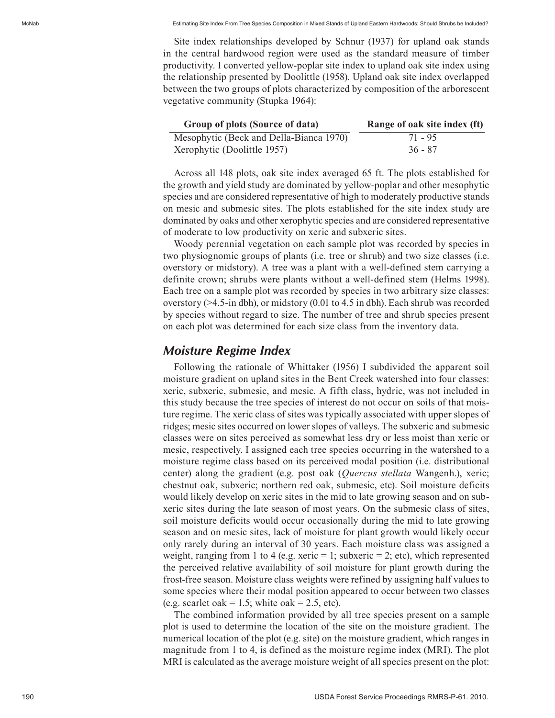McNab Estimating Site Index From Tree Species Composition in Mixed Stands of Upland Eastern Hardwoods: Should Shrubs be Included?

Site index relationships developed by Schnur (1937) for upland oak stands in the central hardwood region were used as the standard measure of timber productivity. I converted yellow-poplar site index to upland oak site index using the relationship presented by Doolittle (1958). Upland oak site index overlapped between the two groups of plots characterized by composition of the arborescent vegetative community (Stupka 1964):

| Group of plots (Source of data)         | Range of oak site index (ft) |
|-----------------------------------------|------------------------------|
| Mesophytic (Beck and Della-Bianca 1970) | 71 - 95                      |
| Xerophytic (Doolittle 1957)             | $36 - 87$                    |

Across all 148 plots, oak site index averaged 65 ft. The plots established for the growth and yield study are dominated by yellow-poplar and other mesophytic species and are considered representative of high to moderately productive stands on mesic and submesic sites. The plots established for the site index study are dominated by oaks and other xerophytic species and are considered representative of moderate to low productivity on xeric and subxeric sites.

Woody perennial vegetation on each sample plot was recorded by species in two physiognomic groups of plants (i.e. tree or shrub) and two size classes (i.e. overstory or midstory). A tree was a plant with a well-defined stem carrying a definite crown; shrubs were plants without a well-defined stem (Helms 1998). Each tree on a sample plot was recorded by species in two arbitrary size classes: overstory (>4.5-in dbh), or midstory (0.01 to 4.5 in dbh). Each shrub was recorded by species without regard to size. The number of tree and shrub species present on each plot was determined for each size class from the inventory data.

### *Moisture Regime Index*

Following the rationale of Whittaker (1956) I subdivided the apparent soil moisture gradient on upland sites in the Bent Creek watershed into four classes: xeric, subxeric, submesic, and mesic. A fifth class, hydric, was not included in this study because the tree species of interest do not occur on soils of that mois ture regime. The xeric class of sites was typically associated with upper slopes of ridges; mesic sites occurred on lower slopes of valleys. The subxeric and submesic classes were on sites perceived as somewhat less dry or less moist than xeric or mesic, respectively. I assigned each tree species occurring in the watershed to a moisture regime class based on its perceived modal position (i.e. distributional center) along the gradient (e.g. post oak (*Quercus stellata* Wangenh.), xeric; chestnut oak, subxeric; northern red oak, submesic, etc). Soil moisture deficits would likely develop on xeric sites in the mid to late growing season and on sub xeric sites during the late season of most years. On the submesic class of sites, soil moisture deficits would occur occasionally during the mid to late growing season and on mesic sites, lack of moisture for plant growth would likely occur only rarely during an interval of 30 years. Each moisture class was assigned a weight, ranging from 1 to 4 (e.g. xeric  $= 1$ ; subxeric  $= 2$ ; etc), which represented the perceived relative availability of soil moisture for plant growth during the frost-free season. Moisture class weights were refined by assigning half values to some species where their modal position appeared to occur between two classes (e.g. scarlet oak = 1.5; white oak = 2.5, etc).

The combined information provided by all tree species present on a sample plot is used to determine the location of the site on the moisture gradient. The numerical location of the plot (e.g. site) on the moisture gradient, which ranges in magnitude from 1 to 4, is defined as the moisture regime index (MRI). The plot MRI is calculated as the average moisture weight of all species present on the plot: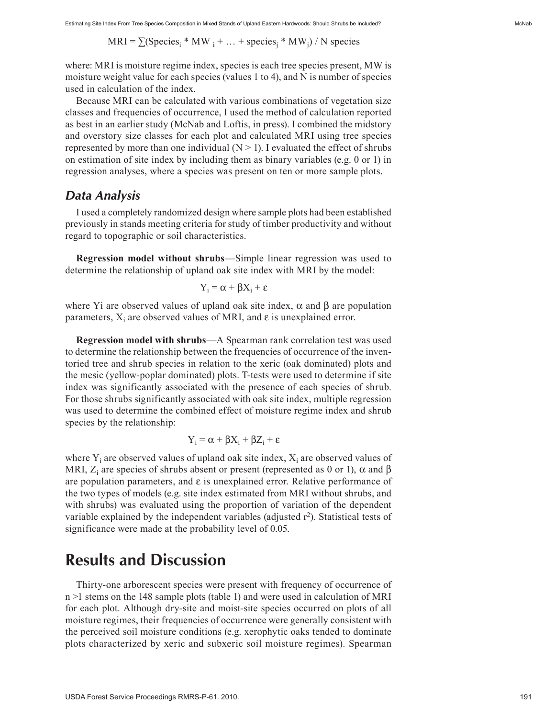$MRI = \sum(\text{Species}_i * MW_i + ... + \text{species}_i * MW_i) / N \text{ species}$ 

where: MRI is moisture regime index, species is each tree species present, MW is moisture weight value for each species (values 1 to 4), and N is number of species used in calculation of the index.

Because MRI can be calculated with various combinations of vegetation size classes and frequencies of occurrence, I used the method of calculation reported as best in an earlier study (McNab and Loftis, in press). I combined the midstory and overstory size classes for each plot and calculated MRI using tree species represented by more than one individual  $(N > 1)$ . I evaluated the effect of shrubs on estimation of site index by including them as binary variables (e.g. 0 or 1) in regression analyses, where a species was present on ten or more sample plots.

#### *Data Analysis*

I used a completely randomized design where sample plots had been established previously in stands meeting criteria for study of timber productivity and without regard to topographic or soil characteristics.

**Regression model without shrubs**—Simple linear regression was used to determine the relationship of upland oak site index with MRI by the model:

$$
Y_i = \alpha + \beta X_i + \epsilon
$$

where Yi are observed values of upland oak site index,  $\alpha$  and  $\beta$  are population parameters,  $X_i$  are observed values of MRI, and  $\varepsilon$  is unexplained error.

**Regression model with shrubs**—A Spearman rank correlation test was used to determine the relationship between the frequencies of occurrence of the inventoried tree and shrub species in relation to the xeric (oak dominated) plots and the mesic (yellow-poplar dominated) plots. T-tests were used to determine if site index was significantly associated with the presence of each species of shrub. For those shrubs significantly associated with oak site index, multiple regression was used to determine the combined effect of moisture regime index and shrub species by the relationship:

$$
Y_i = \alpha + \beta X_i + \beta Z_i + \epsilon
$$

where  $Y_i$  are observed values of upland oak site index,  $X_i$  are observed values of MRI,  $Z_i$  are species of shrubs absent or present (represented as 0 or 1),  $\alpha$  and  $\beta$ are population parameters, and  $\varepsilon$  is unexplained error. Relative performance of the two types of models (e.g. site index estimated from MRI without shrubs, and with shrubs) was evaluated using the proportion of variation of the dependent variable explained by the independent variables (adjusted  $r^2$ ). Statistical tests of significance were made at the probability level of 0.05.

## **Results and Discussion**

Thirty-one arborescent species were present with frequency of occurrence of n >1 stems on the 148 sample plots (table 1) and were used in calculation of MRI for each plot. Although dry-site and moist-site species occurred on plots of all moisture regimes, their frequencies of occurrence were generally consistent with the perceived soil moisture conditions (e.g. xerophytic oaks tended to dominate plots characterized by xeric and subxeric soil moisture regimes). Spearman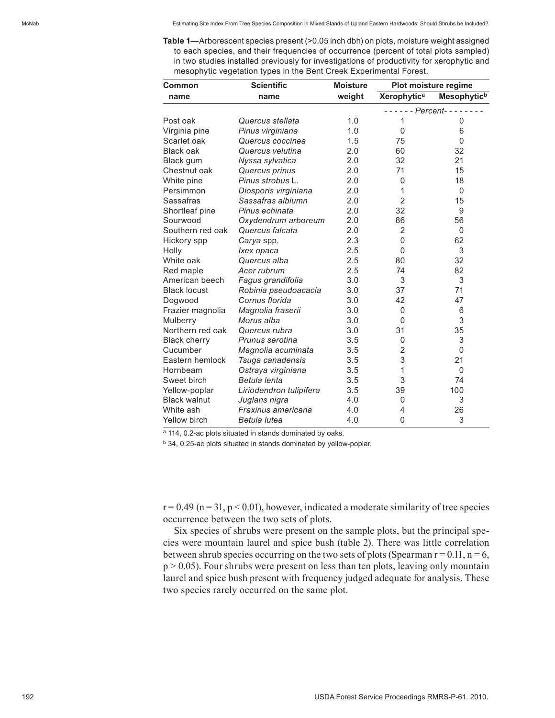**Table 1**—Arborescent species present (>0.05 inch dbh) on plots, moisture weight assigned to each species, and their frequencies of occurrence (percent of total plots sampled) in two studies installed previously for investigations of productivity for xerophytic and mesophytic vegetation types in the Bent Creek Experimental Forest.

| <b>Common</b>       | <b>Scientific</b>       | <b>Moisture</b> | Plot moisture regime |                         |
|---------------------|-------------------------|-----------------|----------------------|-------------------------|
| name                | name                    | weight          | <b>Xerophytica</b>   | Mesophytic <sup>b</sup> |
|                     |                         |                 | - Percent-           |                         |
| Post oak            | Quercus stellata        | 1.0             | 1                    | 0                       |
| Virginia pine       | Pinus virginiana        | 1.0             | $\mathbf{0}$         | 6                       |
| Scarlet oak         | Quercus coccinea        | 1.5             | 75                   | $\Omega$                |
| Black oak           | Quercus velutina        | 2.0             | 60                   | 32                      |
| Black gum           | Nyssa sylvatica         | 2.0             | 32                   | 21                      |
| Chestnut oak        | Quercus prinus          | 2.0             | 71                   | 15                      |
| White pine          | Pinus strobus L.        | 2.0             | 0                    | 18                      |
| Persimmon           | Diosporis virginiana    | 2.0             | 1                    | $\Omega$                |
| Sassafras           | Sassafras albiumn       | 2.0             | $\overline{2}$       | 15                      |
| Shortleaf pine      | Pinus echinata          | 2.0             | 32                   | 9                       |
| Sourwood            | Oxydendrum arboreum     | 2.0             | 86                   | 56                      |
| Southern red oak    | Quercus falcata         | 2.0             | 2                    | $\Omega$                |
| Hickory spp         | Carya spp.              | 2.3             | 0                    | 62                      |
| Holly               | Ixex opaca              | 2.5             | 0                    | 3                       |
| White oak           | Quercus alba            | 2.5             | 80                   | 32                      |
| Red maple           | Acer rubrum             | 2.5             | 74                   | 82                      |
| American beech      | Fagus grandifolia       | 3.0             | 3                    | 3                       |
| <b>Black locust</b> | Robinia pseudoacacia    | 3.0             | 37                   | 71                      |
| Dogwood             | Cornus florida          | 3.0             | 42                   | 47                      |
| Frazier magnolia    | Magnolia fraserii       | 3.0             | 0                    | 6                       |
| Mulberry            | Morus alba              | 3.0             | $\mathbf{0}$         | 3                       |
| Northern red oak    | Quercus rubra           | 3.0             | 31                   | 35                      |
| <b>Black cherry</b> | Prunus serotina         | 3.5             | $\mathbf{0}$         | 3                       |
| Cucumber            | Magnolia acuminata      | 3.5             | 2                    | $\mathbf{0}$            |
| Eastern hemlock     | Tsuga canadensis        | 3.5             | 3                    | 21                      |
| Hornbeam            | Ostraya virginiana      | 3.5             | 1                    | $\Omega$                |
| Sweet birch         | Betula lenta            | 3.5             | 3                    | 74                      |
| Yellow-poplar       | Liriodendron tulipifera | 3.5             | 39                   | 100                     |
| <b>Black walnut</b> | Juglans nigra           | 4.0             | 0                    | 3                       |
| White ash           | Fraxinus americana      | 4.0             | 4                    | 26                      |
| Yellow birch        | Betula lutea            | 4.0             | 0                    | 3                       |

a 114, 0.2-ac plots situated in stands dominated by oaks.

b 34, 0.25-ac plots situated in stands dominated by yellow-poplar.

 $r = 0.49$  (n = 31, p < 0.01), however, indicated a moderate similarity of tree species occurrence between the two sets of plots.

Six species of shrubs were present on the sample plots, but the principal species were mountain laurel and spice bush (table 2). There was little correlation between shrub species occurring on the two sets of plots (Spearman  $r = 0.11$ ,  $n = 6$ ,  $p > 0.05$ ). Four shrubs were present on less than ten plots, leaving only mountain laurel and spice bush present with frequency judged adequate for analysis. These two species rarely occurred on the same plot.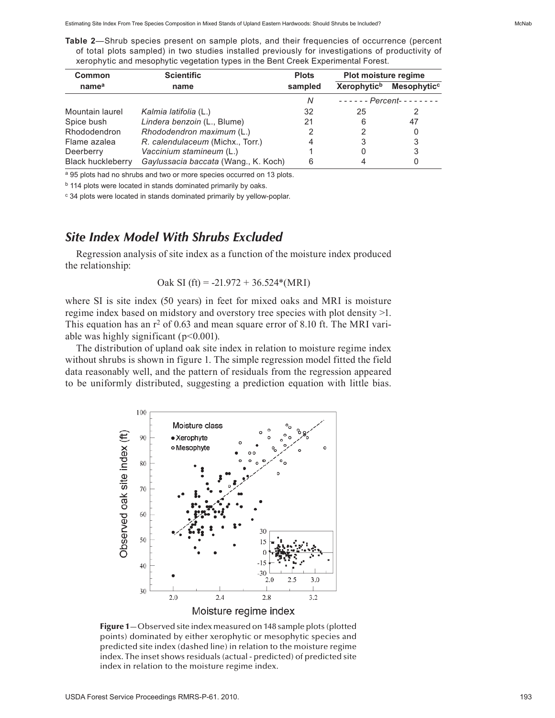**Table 2**—Shrub species present on sample plots, and their frequencies of occurrence (percent of total plots sampled) in two studies installed previously for investigations of productivity of xerophytic and mesophytic vegetation types in the Bent Creek Experimental Forest.

| Common                   | <b>Scientific</b>                    | <b>Plots</b> | Plot moisture regime    |                         |
|--------------------------|--------------------------------------|--------------|-------------------------|-------------------------|
| name <sup>a</sup>        | name                                 | sampled      | Xerophytic <sup>b</sup> | Mesophytic <sup>c</sup> |
|                          |                                      | N            |                         | $---$ Percent--------   |
| Mountain laurel          | Kalmia latifolia (L.)                | 32           | 25                      |                         |
| Spice bush               | Lindera benzoin (L., Blume)          | 21           | 6                       | 47                      |
| Rhododendron             | Rhododendron maximum (L.)            |              | 2                       | 0                       |
| Flame azalea             | R. calendulaceum (Michx., Torr.)     |              | 3                       | 3                       |
| Deerberry                | Vaccinium stamineum (L.)             |              | Ω                       | 3                       |
| <b>Black huckleberry</b> | Gaylussacia baccata (Wang., K. Koch) | 6            |                         | 0                       |

a 95 plots had no shrubs and two or more species occurred on 13 plots.

b 114 plots were located in stands dominated primarily by oaks.

c 34 plots were located in stands dominated primarily by yellow-poplar.

### *Site Index Model With Shrubs Excluded*

Regression analysis of site index as a function of the moisture index produced the relationship:

$$
Oak SI (ft) = -21.972 + 36.524*(MRI)
$$

where SI is site index (50 years) in feet for mixed oaks and MRI is moisture regime index based on midstory and overstory tree species with plot density >1. This equation has an  $r^2$  of 0.63 and mean square error of 8.10 ft. The MRI variable was highly significant  $(p<0.001)$ .

The distribution of upland oak site index in relation to moisture regime index without shrubs is shown in figure 1. The simple regression model fitted the field data reasonably well, and the pattern of residuals from the regression appeared to be uniformly distributed, suggesting a prediction equation with little bias.



Figure 1-Observed site index measured on 148 sample plots (plotted points) dominated by either xerophytic or mesophytic species and predicted site index (dashed line) in relation to the moisture regime index. The inset shows residuals (actual - predicted) of predicted site index in relation to the moisture regime index.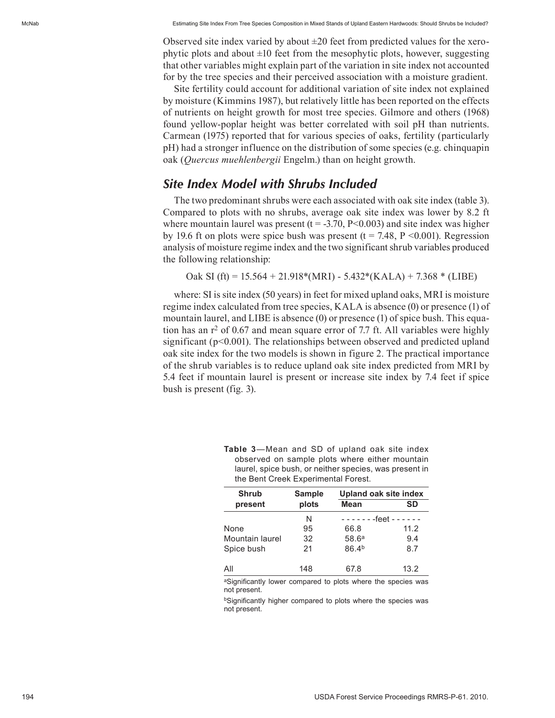Observed site index varied by about  $\pm 20$  feet from predicted values for the xerophytic plots and about  $\pm 10$  feet from the mesophytic plots, however, suggesting that other variables might explain part of the variation in site index not accounted for by the tree species and their perceived association with a moisture gradient.

Site fertility could account for additional variation of site index not explained by moisture (Kimmins 1987), but relatively little has been reported on the effects of nutrients on height growth for most tree species. Gilmore and others (1968) found yellow-poplar height was better correlated with soil pH than nutrients. Carmean (1975) reported that for various species of oaks, fertility (particularly pH) had a stronger influence on the distribution of some species (e.g. chinquapin oak (*Quercus muehlenbergii* Engelm.) than on height growth.

### *Site Index Model with Shrubs Included*

The two predominant shrubs were each associated with oak site index (table 3). Compared to plots with no shrubs, average oak site index was lower by 8.2 ft where mountain laurel was present  $(t = -3.70, P < 0.003)$  and site index was higher by 19.6 ft on plots were spice bush was present ( $t = 7.48$ ,  $P \le 0.001$ ). Regression analysis of moisture regime index and the two significant shrub variables produced the following relationship:

Oak SI (ft) =  $15.564 + 21.918*(MRI) - 5.432*(KALA) + 7.368*(LIBE)$ 

where: SI is site index (50 years) in feet for mixed upland oaks, MRI is moisture regime index calculated from tree species, KALA is absence (0) or presence (1) of mountain laurel, and LIBE is absence (0) or presence (1) of spice bush. This equation has an  $r^2$  of 0.67 and mean square error of 7.7 ft. All variables were highly significant ( $p$ <0.001). The relationships between observed and predicted upland oak site index for the two models is shown in figure 2. The practical importance of the shrub variables is to reduce upland oak site index predicted from MRI by 5.4 feet if mountain laurel is present or increase site index by 7.4 feet if spice bush is present (fig. 3).

| <b>Shrub</b>    | <b>Sample</b> | <b>Upland oak site index</b>  |           |
|-----------------|---------------|-------------------------------|-----------|
| present         | plots         | <b>Mean</b>                   | <b>SD</b> |
|                 | N             | - - - - - - -feet - - - - - - |           |
| None            | 95            | 66.8                          | 11.2      |
| Mountain laurel | 32            | 58.6 <sup>a</sup>             | 9.4       |
| Spice bush      | 21            | 86.4 <sup>b</sup>             | 8.7       |
| All             | 148           | 67.8                          | 13.2      |

| <b>Table 3</b> —Mean and SD of upland oak site index   |
|--------------------------------------------------------|
| observed on sample plots where either mountain         |
| laurel, spice bush, or neither species, was present in |
| the Bent Creek Experimental Forest.                    |

aSignificantly lower compared to plots where the species was not present.

bSignificantly higher compared to plots where the species was not present.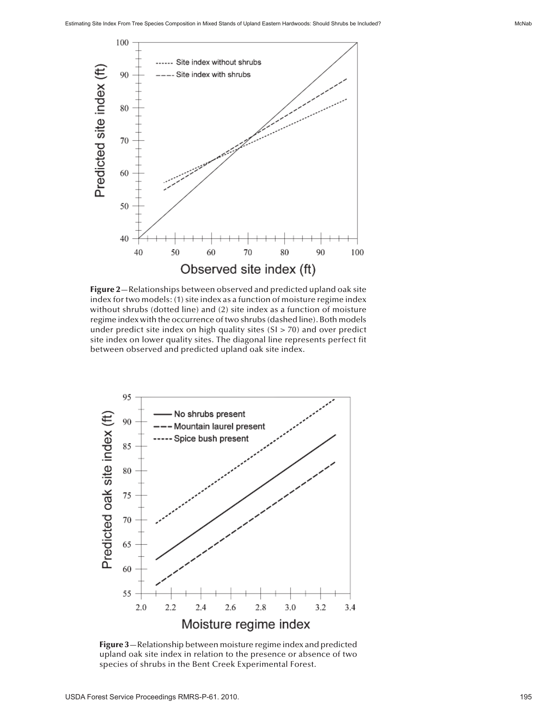

Figure 2—Relationships between observed and predicted upland oak site index for two models: (1) site index as a function of moisture regime index without shrubs (dotted line) and (2) site index as a function of moisture regime index with the occurrence of two shrubs (dashed line). Both models under predict site index on high quality sites  $(SI > 70)$  and over predict site index on lower quality sites. The diagonal line represents perfect fit between observed and predicted upland oak site index.



Figure 3-Relationship between moisture regime index and predicted upland oak site index in relation to the presence or absence of two species of shrubs in the Bent Creek Experimental Forest.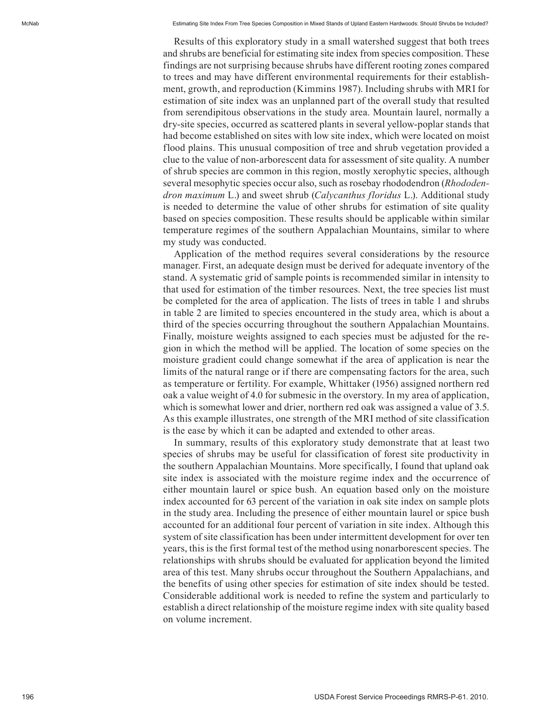Results of this exploratory study in a small watershed suggest that both trees and shrubs are beneficial for estimating site index from species composition. These findings are not surprising because shrubs have different rooting zones compared to trees and may have different environmental requirements for their establish ment, growth, and reproduction (Kimmins 1987). Including shrubs with MRI for estimation of site index was an unplanned part of the overall study that resulted from serendipitous observations in the study area. Mountain laurel, normally a dry-site species, occurred as scattered plants in several yellow-poplar stands that had become established on sites with low site index, which were located on moist flood plains. This unusual composition of tree and shrub vegetation provided a clue to the value of non-arborescent data for assessment of site quality. A number of shrub species are common in this region, mostly xerophytic species, although several mesophytic species occur also, such as rosebay rhododendron (*Rhododen dron maximum* L.) and sweet shrub (*Calycanthus floridus* L.). Additional study is needed to determine the value of other shrubs for estimation of site quality based on species composition. These results should be applicable within similar temperature regimes of the southern Appalachian Mountains, similar to where my study was conducted.

Application of the method requires several considerations by the resource manager. First, an adequate design must be derived for adequate inventory of the stand. A systematic grid of sample points is recommended similar in intensity to that used for estimation of the timber resources. Next, the tree species list must be completed for the area of application. The lists of trees in table 1 and shrubs in table 2 are limited to species encountered in the study area, which is about a third of the species occurring throughout the southern Appalachian Mountains. Finally, moisture weights assigned to each species must be adjusted for the region in which the method will be applied. The location of some species on the moisture gradient could change somewhat if the area of application is near the limits of the natural range or if there are compensating factors for the area, such as temperature or fertility. For example, Whittaker (1956) assigned northern red oak a value weight of 4.0 for submesic in the overstory. In my area of application, which is somewhat lower and drier, northern red oak was assigned a value of 3.5. As this example illustrates, one strength of the MRI method of site classification is the ease by which it can be adapted and extended to other areas.

In summary, results of this exploratory study demonstrate that at least two species of shrubs may be useful for classification of forest site productivity in the southern Appalachian Mountains. More specifically, I found that upland oak site index is associated with the moisture regime index and the occurrence of either mountain laurel or spice bush. An equation based only on the moisture index accounted for 63 percent of the variation in oak site index on sample plots in the study area. Including the presence of either mountain laurel or spice bush accounted for an additional four percent of variation in site index. Although this system of site classification has been under intermittent development for over ten years, this is the first formal test of the method using nonarborescent species. The relationships with shrubs should be evaluated for application beyond the limited area of this test. Many shrubs occur throughout the Southern Appalachians, and the benefits of using other species for estimation of site index should be tested. Considerable additional work is needed to refine the system and particularly to establish a direct relationship of the moisture regime index with site quality based on volume increment.